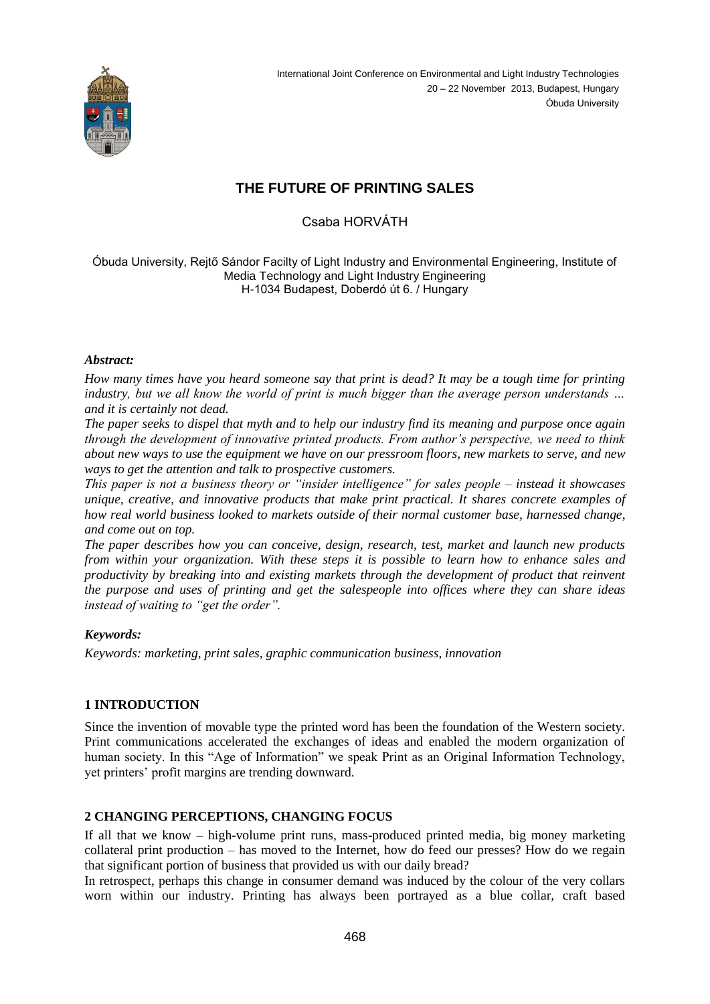

# **THE FUTURE OF PRINTING SALES**

Csaba HORVÁTH

Óbuda University, Rejtő Sándor Facilty of Light Industry and Environmental Engineering, Institute of Media Technology and Light Industry Engineering H-1034 Budapest, Doberdó út 6. / Hungary

#### *Abstract:*

*How many times have you heard someone say that print is dead? It may be a tough time for printing industry, but we all know the world of print is much bigger than the average person understands … and it is certainly not dead.*

*The paper seeks to dispel that myth and to help our industry find its meaning and purpose once again through the development of innovative printed products. From author's perspective, we need to think about new ways to use the equipment we have on our pressroom floors, new markets to serve, and new ways to get the attention and talk to prospective customers.*

*This paper is not a business theory or "insider intelligence" for sales people – instead it showcases unique, creative, and innovative products that make print practical. It shares concrete examples of how real world business looked to markets outside of their normal customer base, harnessed change, and come out on top.*

*The paper describes how you can conceive, design, research, test, market and launch new products from within your organization. With these steps it is possible to learn how to enhance sales and productivity by breaking into and existing markets through the development of product that reinvent the purpose and uses of printing and get the salespeople into offices where they can share ideas instead of waiting to "get the order".* 

# *Keywords:*

*Keywords: marketing, print sales, graphic communication business, innovation*

# **1 INTRODUCTION**

Since the invention of movable type the printed word has been the foundation of the Western society. Print communications accelerated the exchanges of ideas and enabled the modern organization of human society. In this "Age of Information" we speak Print as an Original Information Technology, yet printers' profit margins are trending downward.

# **2 CHANGING PERCEPTIONS, CHANGING FOCUS**

If all that we know – high-volume print runs, mass-produced printed media, big money marketing collateral print production – has moved to the Internet, how do feed our presses? How do we regain that significant portion of business that provided us with our daily bread?

In retrospect, perhaps this change in consumer demand was induced by the colour of the very collars worn within our industry. Printing has always been portrayed as a blue collar, craft based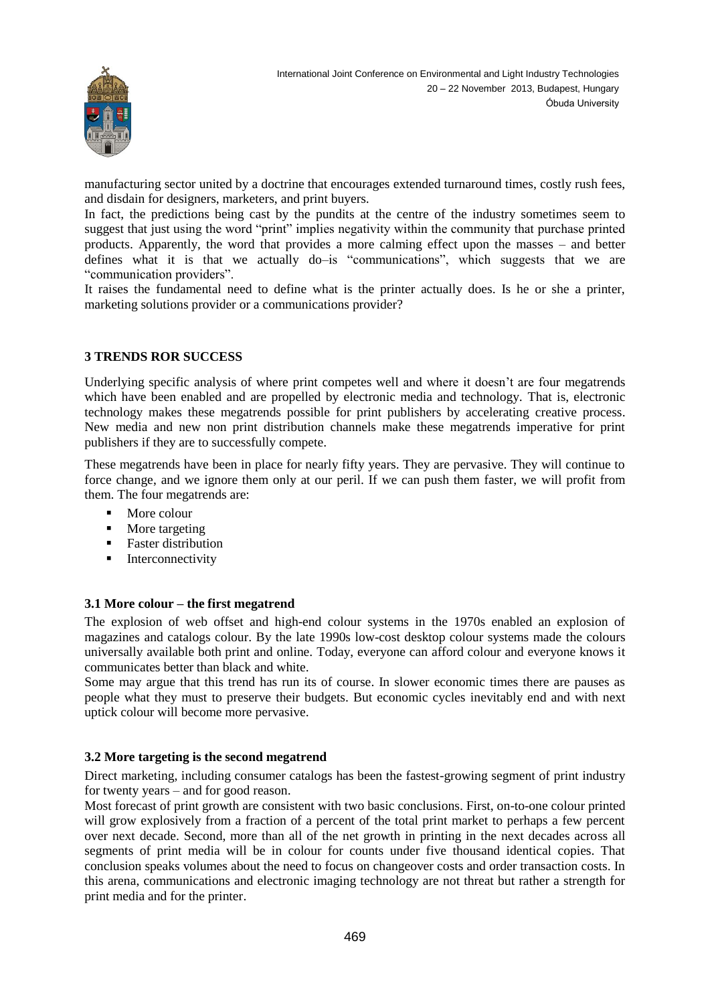

manufacturing sector united by a doctrine that encourages extended turnaround times, costly rush fees, and disdain for designers, marketers, and print buyers.

In fact, the predictions being cast by the pundits at the centre of the industry sometimes seem to suggest that just using the word "print" implies negativity within the community that purchase printed products. Apparently, the word that provides a more calming effect upon the masses – and better defines what it is that we actually do–is "communications", which suggests that we are "communication providers".

It raises the fundamental need to define what is the printer actually does. Is he or she a printer, marketing solutions provider or a communications provider?

# **3 TRENDS ROR SUCCESS**

Underlying specific analysis of where print competes well and where it doesn't are four megatrends which have been enabled and are propelled by electronic media and technology. That is, electronic technology makes these megatrends possible for print publishers by accelerating creative process. New media and new non print distribution channels make these megatrends imperative for print publishers if they are to successfully compete.

These megatrends have been in place for nearly fifty years. They are pervasive. They will continue to force change, and we ignore them only at our peril. If we can push them faster, we will profit from them. The four megatrends are:

- More colour
- More targeting
- **Faster distribution**
- **Interconnectivity**

# **3.1 More colour – the first megatrend**

The explosion of web offset and high-end colour systems in the 1970s enabled an explosion of magazines and catalogs colour. By the late 1990s low-cost desktop colour systems made the colours universally available both print and online. Today, everyone can afford colour and everyone knows it communicates better than black and white.

Some may argue that this trend has run its of course. In slower economic times there are pauses as people what they must to preserve their budgets. But economic cycles inevitably end and with next uptick colour will become more pervasive.

#### **3.2 More targeting is the second megatrend**

Direct marketing, including consumer catalogs has been the fastest-growing segment of print industry for twenty years – and for good reason.

Most forecast of print growth are consistent with two basic conclusions. First, on-to-one colour printed will grow explosively from a fraction of a percent of the total print market to perhaps a few percent over next decade. Second, more than all of the net growth in printing in the next decades across all segments of print media will be in colour for counts under five thousand identical copies. That conclusion speaks volumes about the need to focus on changeover costs and order transaction costs. In this arena, communications and electronic imaging technology are not threat but rather a strength for print media and for the printer.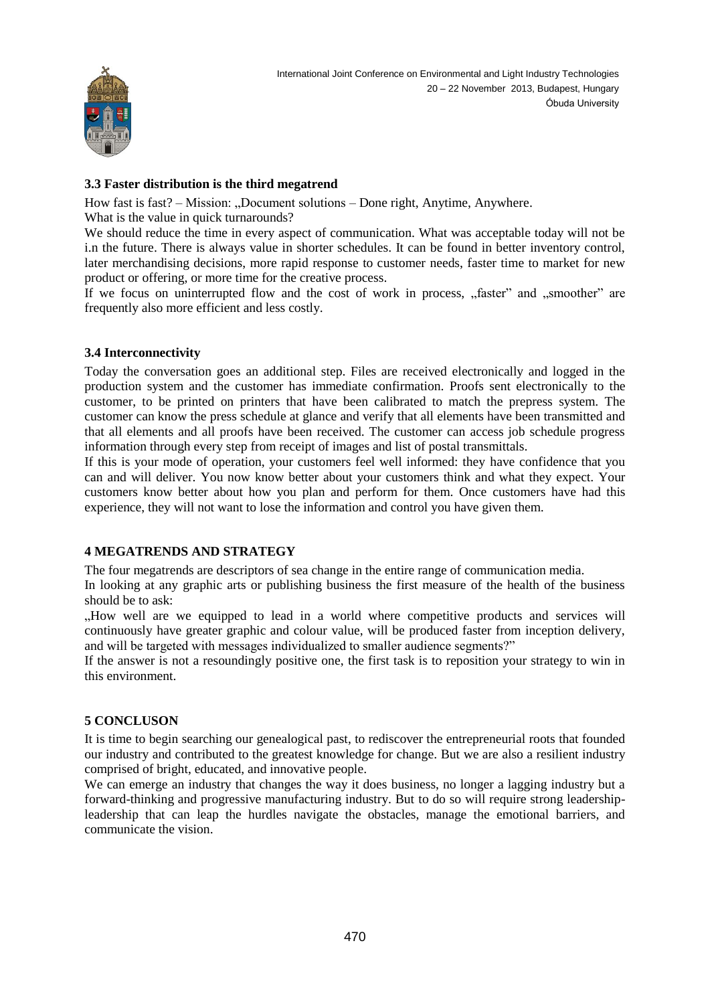

# **3.3 Faster distribution is the third megatrend**

How fast is fast? – Mission: "Document solutions – Done right, Anytime, Anywhere.

What is the value in quick turnarounds?

We should reduce the time in every aspect of communication. What was acceptable today will not be i.n the future. There is always value in shorter schedules. It can be found in better inventory control, later merchandising decisions, more rapid response to customer needs, faster time to market for new product or offering, or more time for the creative process.

If we focus on uninterrupted flow and the cost of work in process, "faster" and "smoother" are frequently also more efficient and less costly.

# **3.4 Interconnectivity**

Today the conversation goes an additional step. Files are received electronically and logged in the production system and the customer has immediate confirmation. Proofs sent electronically to the customer, to be printed on printers that have been calibrated to match the prepress system. The customer can know the press schedule at glance and verify that all elements have been transmitted and that all elements and all proofs have been received. The customer can access job schedule progress information through every step from receipt of images and list of postal transmittals.

If this is your mode of operation, your customers feel well informed: they have confidence that you can and will deliver. You now know better about your customers think and what they expect. Your customers know better about how you plan and perform for them. Once customers have had this experience, they will not want to lose the information and control you have given them.

# **4 MEGATRENDS AND STRATEGY**

The four megatrends are descriptors of sea change in the entire range of communication media.

In looking at any graphic arts or publishing business the first measure of the health of the business should be to ask:

"How well are we equipped to lead in a world where competitive products and services will continuously have greater graphic and colour value, will be produced faster from inception delivery, and will be targeted with messages individualized to smaller audience segments?"

If the answer is not a resoundingly positive one, the first task is to reposition your strategy to win in this environment.

# **5 CONCLUSON**

It is time to begin searching our genealogical past, to rediscover the entrepreneurial roots that founded our industry and contributed to the greatest knowledge for change. But we are also a resilient industry comprised of bright, educated, and innovative people.

We can emerge an industry that changes the way it does business, no longer a lagging industry but a forward-thinking and progressive manufacturing industry. But to do so will require strong leadershipleadership that can leap the hurdles navigate the obstacles, manage the emotional barriers, and communicate the vision.